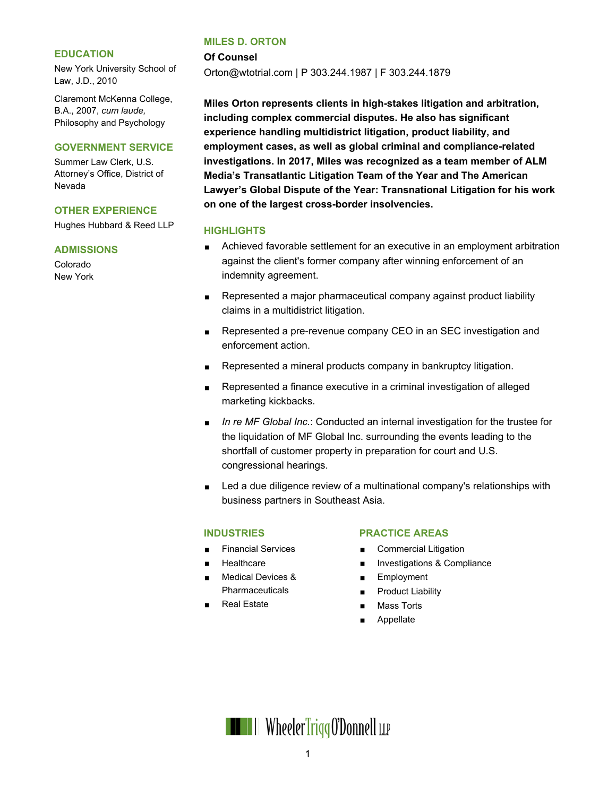#### **EDUCATION**

New York University School of Law, J.D., 2010

Claremont McKenna College, B.A., 2007, *cum laude,* Philosophy and Psychology

#### **GOVERNMENT SERVICE**

Summer Law Clerk, U.S. Attorney's Office, District of Nevada

### **OTHER EXPERIENCE**

Hughes Hubbard & Reed LLP

#### **ADMISSIONS**

Colorado New York

#### **MILES D. ORTON**

**Of Counsel**

Orton@wtotrial.com | P 303.244.1987 | F 303.244.1879

**Miles Orton represents clients in high-stakes litigation and arbitration, including complex commercial disputes. He also has significant experience handling multidistrict litigation, product liability, and employment cases, as well as global criminal and compliance-related investigations. In 2017, Miles was recognized as a team member of ALM Media's Transatlantic Litigation Team of the Year and The American Lawyer's Global Dispute of the Year: Transnational Litigation for his work on one of the largest cross-border insolvencies.**

#### **HIGHLIGHTS**

- Achieved favorable settlement for an executive in an employment arbitration against the client's former company after winning enforcement of an indemnity agreement.
- Represented a major pharmaceutical company against product liability claims in a multidistrict litigation.
- Represented a pre-revenue company CEO in an SEC investigation and enforcement action.
- Represented a mineral products company in bankruptcy litigation.
- Represented a finance executive in a criminal investigation of alleged marketing kickbacks.
- *In re MF Global Inc.*: Conducted an internal investigation for the trustee for the liquidation of MF Global Inc. surrounding the events leading to the shortfall of customer property in preparation for court and U.S. congressional hearings.
- Led a due diligence review of a multinational company's relationships with business partners in Southeast Asia.

### **INDUSTRIES**

- Financial Services
- **Healthcare**
- Medical Devices & **Pharmaceuticals**
- Real Estate

### **PRACTICE AREAS**

- Commercial Litigation
- **Investigations & Compliance**
- **Employment**
- **Product Liability**
- Mass Torts
- **Appellate**

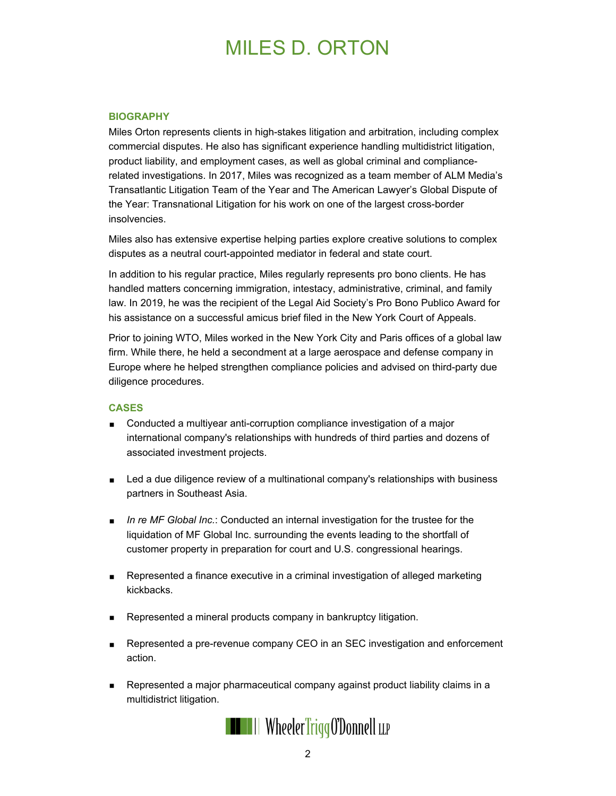# MILES D. ORTON

#### **BIOGRAPHY**

Miles Orton represents clients in high-stakes litigation and arbitration, including complex commercial disputes. He also has significant experience handling multidistrict litigation, product liability, and employment cases, as well as global criminal and compliancerelated investigations. In 2017, Miles was recognized as a team member of ALM Media's Transatlantic Litigation Team of the Year and The American Lawyer's Global Dispute of the Year: Transnational Litigation for his work on one of the largest cross-border insolvencies.

Miles also has extensive expertise helping parties explore creative solutions to complex disputes as a neutral court-appointed mediator in federal and state court.

In addition to his regular practice, Miles regularly represents pro bono clients. He has handled matters concerning immigration, intestacy, administrative, criminal, and family law. In 2019, he was the recipient of the Legal Aid Society's Pro Bono Publico Award for his assistance on a successful amicus brief filed in the New York Court of Appeals.

Prior to joining WTO, Miles worked in the New York City and Paris offices of a global law firm. While there, he held a secondment at a large aerospace and defense company in Europe where he helped strengthen compliance policies and advised on third-party due diligence procedures.

### **CASES**

- Conducted a multiyear anti-corruption compliance investigation of a major international company's relationships with hundreds of third parties and dozens of associated investment projects.
- **Led a due diligence review of a multinational company's relationships with business** partners in Southeast Asia.
- *In re MF Global Inc.*: Conducted an internal investigation for the trustee for the liquidation of MF Global Inc. surrounding the events leading to the shortfall of customer property in preparation for court and U.S. congressional hearings.
- Represented a finance executive in a criminal investigation of alleged marketing kickbacks.
- Represented a mineral products company in bankruptcy litigation.
- Represented a pre-revenue company CEO in an SEC investigation and enforcement action.
- Represented a major pharmaceutical company against product liability claims in a multidistrict litigation.

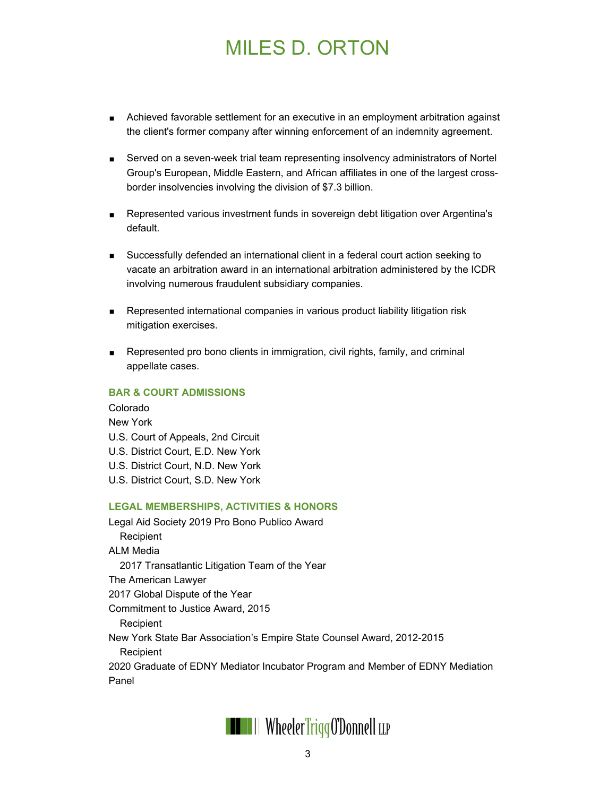# MILES D. ORTON

- Achieved favorable settlement for an executive in an employment arbitration against the client's former company after winning enforcement of an indemnity agreement.
- Served on a seven-week trial team representing insolvency administrators of Nortel Group's European, Middle Eastern, and African affiliates in one of the largest crossborder insolvencies involving the division of \$7.3 billion.
- Represented various investment funds in sovereign debt litigation over Argentina's default.
- Successfully defended an international client in a federal court action seeking to vacate an arbitration award in an international arbitration administered by the ICDR involving numerous fraudulent subsidiary companies.
- **Represented international companies in various product liability litigation risk** mitigation exercises.
- Represented pro bono clients in immigration, civil rights, family, and criminal appellate cases.

## **BAR & COURT ADMISSIONS**

Colorado New York U.S. Court of Appeals, 2nd Circuit U.S. District Court, E.D. New York U.S. District Court, N.D. New York U.S. District Court, S.D. New York **LEGAL MEMBERSHIPS, ACTIVITIES & HONORS** Legal Aid Society 2019 Pro Bono Publico Award **Recipient** ALM Media

2017 Transatlantic Litigation Team of the Year

The American Lawyer

2017 Global Dispute of the Year

Commitment to Justice Award, 2015

Recipient

New York State Bar Association's Empire State Counsel Award, 2012-2015

Recipient

2020 Graduate of EDNY Mediator Incubator Program and Member of EDNY Mediation Panel